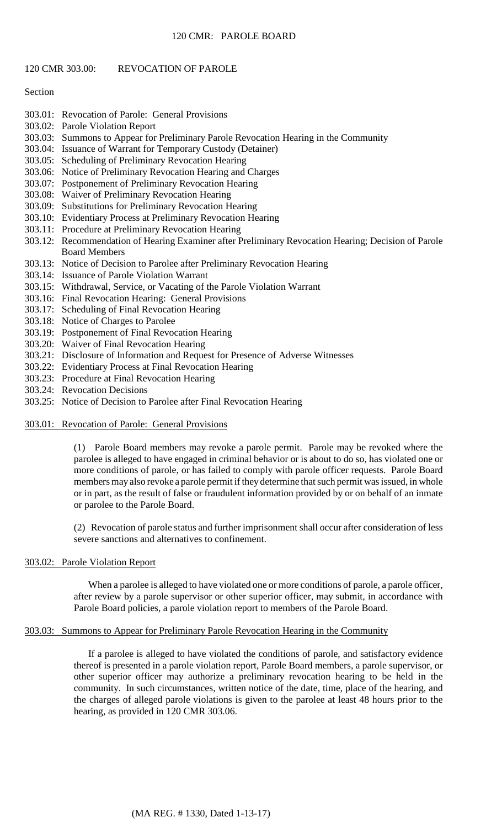## 120 CMR 303.00: REVOCATION OF PAROLE

## Section

- 303.01: Revocation of Parole: General Provisions
- 303.02: Parole Violation Report
- 303.03: Summons to Appear for Preliminary Parole Revocation Hearing in the Community
- 303.04: Issuance of Warrant for Temporary Custody (Detainer)
- 303.05: Scheduling of Preliminary Revocation Hearing
- 303.06: Notice of Preliminary Revocation Hearing and Charges
- 303.07: Postponement of Preliminary Revocation Hearing
- 303.08: Waiver of Preliminary Revocation Hearing
- 303.09: Substitutions for Preliminary Revocation Hearing
- 303.10: Evidentiary Process at Preliminary Revocation Hearing
- 303.11: Procedure at Preliminary Revocation Hearing
- 303.12: Recommendation of Hearing Examiner after Preliminary Revocation Hearing; Decision of Parole Board Members
- 303.13: Notice of Decision to Parolee after Preliminary Revocation Hearing
- 303.14: Issuance of Parole Violation Warrant
- 303.15: Withdrawal, Service, or Vacating of the Parole Violation Warrant
- 303.16: Final Revocation Hearing: General Provisions
- 303.17: Scheduling of Final Revocation Hearing
- 303.18: Notice of Charges to Parolee
- 303.19: Postponement of Final Revocation Hearing
- 303.20: Waiver of Final Revocation Hearing
- 303.21: Disclosure of Information and Request for Presence of Adverse Witnesses
- 303.22: Evidentiary Process at Final Revocation Hearing
- 303.23: Procedure at Final Revocation Hearing
- 303.24: Revocation Decisions
- 303.25: Notice of Decision to Parolee after Final Revocation Hearing

#### 303.01: Revocation of Parole: General Provisions

 members may also revoke a parole permit if they determine that such permit was issued, in whole (1) Parole Board members may revoke a parole permit. Parole may be revoked where the parolee is alleged to have engaged in criminal behavior or is about to do so, has violated one or more conditions of parole, or has failed to comply with parole officer requests. Parole Board or in part, as the result of false or fraudulent information provided by or on behalf of an inmate or parolee to the Parole Board.

(2) Revocation of parole status and further imprisonment shall occur after consideration of less severe sanctions and alternatives to confinement.

#### 303.02: Parole Violation Report

When a parolee is alleged to have violated one or more conditions of parole, a parole officer, after review by a parole supervisor or other superior officer, may submit, in accordance with Parole Board policies, a parole violation report to members of the Parole Board.

#### 303.03: Summons to Appear for Preliminary Parole Revocation Hearing in the Community

 the charges of alleged parole violations is given to the parolee at least 48 hours prior to the If a parolee is alleged to have violated the conditions of parole, and satisfactory evidence thereof is presented in a parole violation report, Parole Board members, a parole supervisor, or other superior officer may authorize a preliminary revocation hearing to be held in the community. In such circumstances, written notice of the date, time, place of the hearing, and hearing, as provided in 120 CMR 303.06.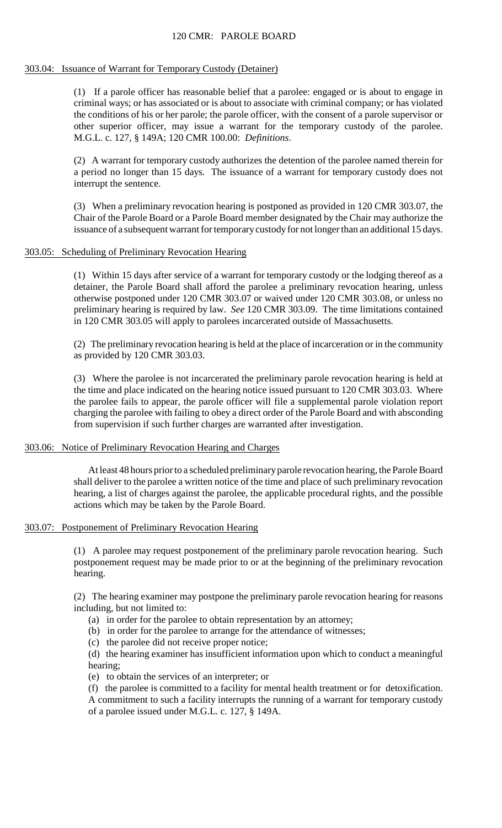# 120 CMR: PAROLE BOARD

#### 303.04: Issuance of Warrant for Temporary Custody (Detainer)

 the conditions of his or her parole; the parole officer, with the consent of a parole supervisor or (1) If a parole officer has reasonable belief that a parolee: engaged or is about to engage in criminal ways; or has associated or is about to associate with criminal company; or has violated other superior officer, may issue a warrant for the temporary custody of the parolee. M.G.L. c. 127, § 149A; 120 CMR 100.00: *Definitions*.

(2) A warrant for temporary custody authorizes the detention of the parolee named therein for a period no longer than 15 days. The issuance of a warrant for temporary custody does not interrupt the sentence.

 issuance of a subsequent warrant for temporary custody for not longer than an additional 15 days. (3) When a preliminary revocation hearing is postponed as provided in 120 CMR 303.07, the Chair of the Parole Board or a Parole Board member designated by the Chair may authorize the

#### 303.05: Scheduling of Preliminary Revocation Hearing

 (1) Within 15 days after service of a warrant for temporary custody or the lodging thereof as a detainer, the Parole Board shall afford the parolee a preliminary revocation hearing, unless otherwise postponed under 120 CMR 303.07 or waived under 120 CMR 303.08, or unless no preliminary hearing is required by law. *See* 120 CMR 303.09. The time limitations contained in 120 CMR 303.05 will apply to parolees incarcerated outside of Massachusetts.

 (2) The preliminary revocation hearing is held at the place of incarceration or in the community as provided by 120 CMR 303.03.

 (3) Where the parolee is not incarcerated the preliminary parole revocation hearing is held at the time and place indicated on the hearing notice issued pursuant to 120 CMR 303.03. Where the parolee fails to appear, the parole officer will file a supplemental parole violation report charging the parolee with failing to obey a direct order of the Parole Board and with absconding from supervision if such further charges are warranted after investigation.

#### 303.06: Notice of Preliminary Revocation Hearing and Charges

At least 48 hours prior to a scheduled preliminary parole revocation hearing, the Parole Board shall deliver to the parolee a written notice of the time and place of such preliminary revocation hearing, a list of charges against the parolee, the applicable procedural rights, and the possible actions which may be taken by the Parole Board.

#### 303.07: Postponement of Preliminary Revocation Hearing

(1) A parolee may request postponement of the preliminary parole revocation hearing. Such postponement request may be made prior to or at the beginning of the preliminary revocation hearing.

(2) The hearing examiner may postpone the preliminary parole revocation hearing for reasons including, but not limited to:

- (a) in order for the parolee to obtain representation by an attorney;
- (b) in order for the parolee to arrange for the attendance of witnesses;
- (c) the parolee did not receive proper notice;

(d) the hearing examiner has insufficient information upon which to conduct a meaningful hearing;

(e) to obtain the services of an interpreter; or

(f) the parolee is committed to a facility for mental health treatment or for detoxification. A commitment to such a facility interrupts the running of a warrant for temporary custody of a parolee issued under M.G.L. c. 127, § 149A.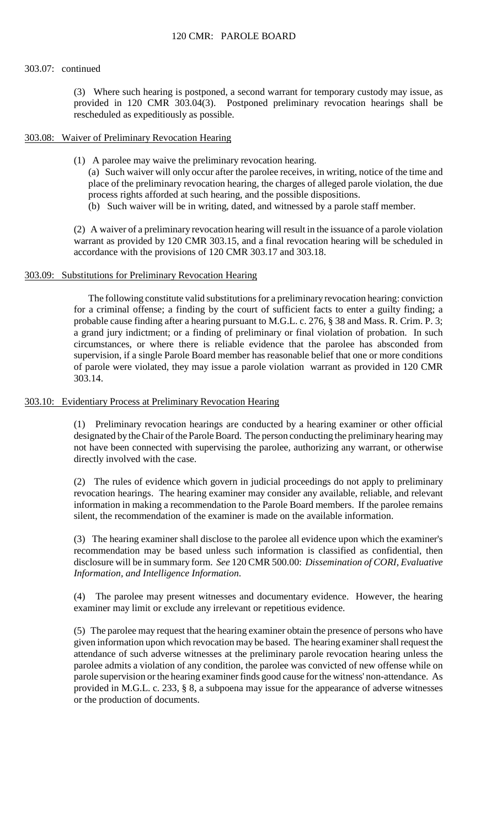## 303.07: continued

(3) Where such hearing is postponed, a second warrant for temporary custody may issue, as provided in 120 CMR 303.04(3). Postponed preliminary revocation hearings shall be rescheduled as expeditiously as possible.

## 303.08: Waiver of Preliminary Revocation Hearing

(1) A parolee may waive the preliminary revocation hearing.

(a) Such waiver will only occur after the parolee receives, in writing, notice of the time and place of the preliminary revocation hearing, the charges of alleged parole violation, the due process rights afforded at such hearing, and the possible dispositions.

(b) Such waiver will be in writing, dated, and witnessed by a parole staff member.

(2) A waiver of a preliminary revocation hearing will result in the issuance of a parole violation warrant as provided by 120 CMR 303.15, and a final revocation hearing will be scheduled in accordance with the provisions of 120 CMR 303.17 and 303.18.

# 303.09: Substitutions for Preliminary Revocation Hearing

The following constitute valid substitutions for a preliminary revocation hearing: conviction for a criminal offense; a finding by the court of sufficient facts to enter a guilty finding; a probable cause finding after a hearing pursuant to M.G.L. c. 276, § 38 and Mass. R. Crim. P. 3; a grand jury indictment; or a finding of preliminary or final violation of probation. In such circumstances, or where there is reliable evidence that the parolee has absconded from supervision, if a single Parole Board member has reasonable belief that one or more conditions of parole were violated, they may issue a parole violation warrant as provided in 120 CMR 303.14.

## 303.10: Evidentiary Process at Preliminary Revocation Hearing

(1) Preliminary revocation hearings are conducted by a hearing examiner or other official designated by the Chair of the Parole Board. The person conducting the preliminary hearing may not have been connected with supervising the parolee, authorizing any warrant, or otherwise directly involved with the case.

 revocation hearings. The hearing examiner may consider any available, reliable, and relevant (2) The rules of evidence which govern in judicial proceedings do not apply to preliminary information in making a recommendation to the Parole Board members. If the parolee remains silent, the recommendation of the examiner is made on the available information.

 (3) The hearing examiner shall disclose to the parolee all evidence upon which the examiner's recommendation may be based unless such information is classified as confidential, then disclosure will be in summary form. *See* 120 CMR 500.00: *Dissemination of CORI, Evaluative Information, and Intelligence Information*.

(4) The parolee may present witnesses and documentary evidence. However, the hearing examiner may limit or exclude any irrelevant or repetitious evidence.

 (5) The parolee may request that the hearing examiner obtain the presence of persons who have given information upon which revocation may be based. The hearing examiner shall request the attendance of such adverse witnesses at the preliminary parole revocation hearing unless the parolee admits a violation of any condition, the parolee was convicted of new offense while on parole supervision or the hearing examiner finds good cause for the witness' non-attendance. As provided in M.G.L. c. 233, § 8, a subpoena may issue for the appearance of adverse witnesses or the production of documents.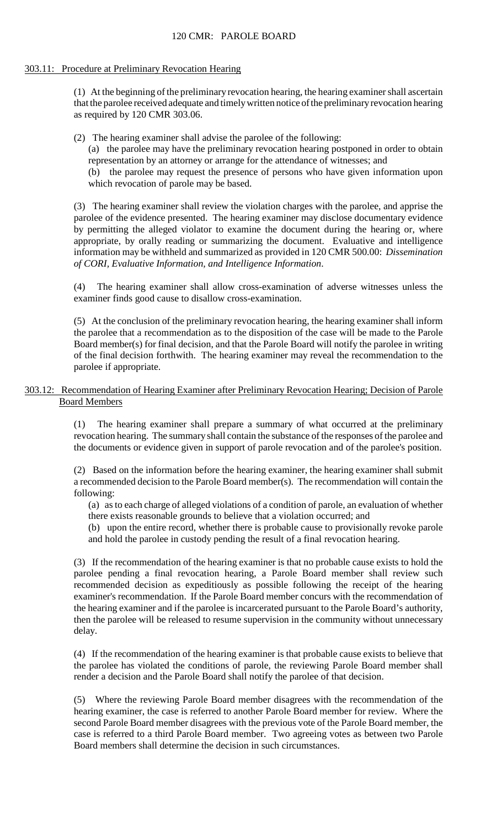## 303.11: Procedure at Preliminary Revocation Hearing

 (1) At the beginning of the preliminary revocation hearing, the hearing examiner shall ascertain that the parolee received adequate and timely written notice of the preliminary revocation hearing as required by 120 CMR 303.06.

(2) The hearing examiner shall advise the parolee of the following:

(a) the parolee may have the preliminary revocation hearing postponed in order to obtain representation by an attorney or arrange for the attendance of witnesses; and

(b) the parolee may request the presence of persons who have given information upon which revocation of parole may be based.

(3) The hearing examiner shall review the violation charges with the parolee, and apprise the parolee of the evidence presented. The hearing examiner may disclose documentary evidence by permitting the alleged violator to examine the document during the hearing or, where appropriate, by orally reading or summarizing the document. Evaluative and intelligence information may be withheld and summarized as provided in 120 CMR 500.00: *Dissemination of CORI, Evaluative Information, and Intelligence Information*.

(4) The hearing examiner shall allow cross-examination of adverse witnesses unless the examiner finds good cause to disallow cross-examination.

(5) At the conclusion of the preliminary revocation hearing, the hearing examiner shall inform the parolee that a recommendation as to the disposition of the case will be made to the Parole Board member(s) for final decision, and that the Parole Board will notify the parolee in writing of the final decision forthwith. The hearing examiner may reveal the recommendation to the parolee if appropriate.

# 303.12: Recommendation of Hearing Examiner after Preliminary Revocation Hearing; Decision of Parole Board Members

(1) The hearing examiner shall prepare a summary of what occurred at the preliminary revocation hearing. The summary shall contain the substance of the responses of the parolee and the documents or evidence given in support of parole revocation and of the parolee's position.

 (2) Based on the information before the hearing examiner, the hearing examiner shall submit a recommended decision to the Parole Board member(s). The recommendation will contain the following:

 (a) as to each charge of alleged violations of a condition of parole, an evaluation of whether there exists reasonable grounds to believe that a violation occurred; and

 (b) upon the entire record, whether there is probable cause to provisionally revoke parole and hold the parolee in custody pending the result of a final revocation hearing.

 the hearing examiner and if the parolee is incarcerated pursuant to the Parole Board's authority, (3) If the recommendation of the hearing examiner is that no probable cause exists to hold the parolee pending a final revocation hearing, a Parole Board member shall review such recommended decision as expeditiously as possible following the receipt of the hearing examiner's recommendation. If the Parole Board member concurs with the recommendation of then the parolee will be released to resume supervision in the community without unnecessary delay.

(4) If the recommendation of the hearing examiner is that probable cause exists to believe that the parolee has violated the conditions of parole, the reviewing Parole Board member shall render a decision and the Parole Board shall notify the parolee of that decision.

 hearing examiner, the case is referred to another Parole Board member for review. Where the (5) Where the reviewing Parole Board member disagrees with the recommendation of the second Parole Board member disagrees with the previous vote of the Parole Board member, the case is referred to a third Parole Board member. Two agreeing votes as between two Parole Board members shall determine the decision in such circumstances.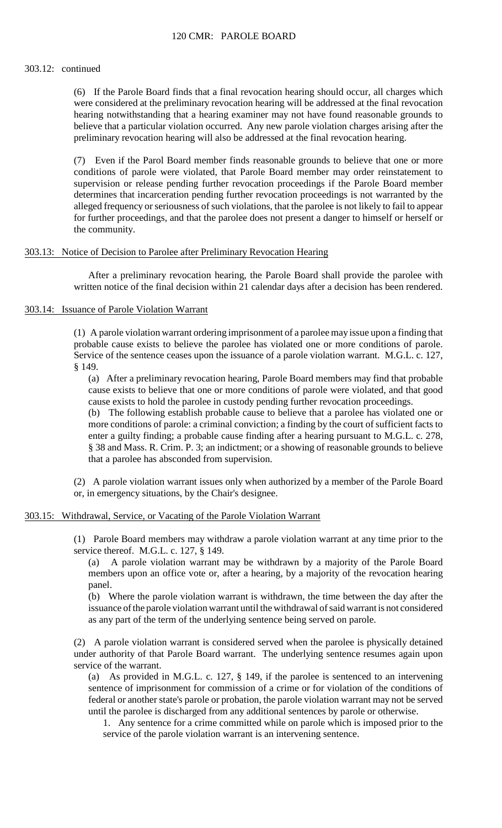## 303.12: continued

 were considered at the preliminary revocation hearing will be addressed at the final revocation (6) If the Parole Board finds that a final revocation hearing should occur, all charges which hearing notwithstanding that a hearing examiner may not have found reasonable grounds to believe that a particular violation occurred. Any new parole violation charges arising after the preliminary revocation hearing will also be addressed at the final revocation hearing.

 determines that incarceration pending further revocation proceedings is not warranted by the (7) Even if the Parol Board member finds reasonable grounds to believe that one or more conditions of parole were violated, that Parole Board member may order reinstatement to supervision or release pending further revocation proceedings if the Parole Board member alleged frequency or seriousness of such violations, that the parolee is not likely to fail to appear for further proceedings, and that the parolee does not present a danger to himself or herself or the community.

## 303.13: Notice of Decision to Parolee after Preliminary Revocation Hearing

After a preliminary revocation hearing, the Parole Board shall provide the parolee with written notice of the final decision within 21 calendar days after a decision has been rendered.

# 303.14: Issuance of Parole Violation Warrant

 probable cause exists to believe the parolee has violated one or more conditions of parole. (1) A parole violation warrant ordering imprisonment of a parolee may issue upon a finding that Service of the sentence ceases upon the issuance of a parole violation warrant. M.G.L. c. 127, § 149.

(a) After a preliminary revocation hearing, Parole Board members may find that probable cause exists to believe that one or more conditions of parole were violated, and that good cause exists to hold the parolee in custody pending further revocation proceedings.

 more conditions of parole: a criminal conviction; a finding by the court of sufficient facts to enter a guilty finding; a probable cause finding after a hearing pursuant to M.G.L. c. 278, (b) The following establish probable cause to believe that a parolee has violated one or § 38 and Mass. R. Crim. P. 3; an indictment; or a showing of reasonable grounds to believe that a parolee has absconded from supervision.

(2) A parole violation warrant issues only when authorized by a member of the Parole Board or, in emergency situations, by the Chair's designee.

# 303.15: Withdrawal, Service, or Vacating of the Parole Violation Warrant

(1) Parole Board members may withdraw a parole violation warrant at any time prior to the service thereof. M.G.L. c. 127, § 149.

(a) A parole violation warrant may be withdrawn by a majority of the Parole Board members upon an office vote or, after a hearing, by a majority of the revocation hearing panel.

(b) Where the parole violation warrant is withdrawn, the time between the day after the issuance of the parole violation warrant until the withdrawal of said warrant is not considered as any part of the term of the underlying sentence being served on parole.

(2) A parole violation warrant is considered served when the parolee is physically detained under authority of that Parole Board warrant. The underlying sentence resumes again upon service of the warrant.

(a) As provided in M.G.L. c. 127, § 149, if the parolee is sentenced to an intervening sentence of imprisonment for commission of a crime or for violation of the conditions of federal or another state's parole or probation, the parole violation warrant may not be served until the parolee is discharged from any additional sentences by parole or otherwise.

1. Any sentence for a crime committed while on parole which is imposed prior to the service of the parole violation warrant is an intervening sentence.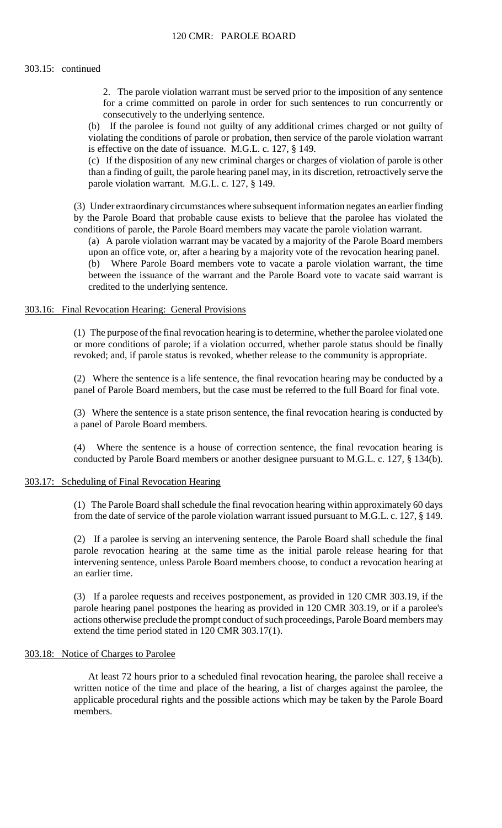## 303.15: continued

 2. The parole violation warrant must be served prior to the imposition of any sentence for a crime committed on parole in order for such sentences to run concurrently or consecutively to the underlying sentence.

 (b) If the parolee is found not guilty of any additional crimes charged or not guilty of violating the conditions of parole or probation, then service of the parole violation warrant is effective on the date of issuance. M.G.L. c. 127, § 149.

 (c) If the disposition of any new criminal charges or charges of violation of parole is other than a finding of guilt, the parole hearing panel may, in its discretion, retroactively serve the parole violation warrant. M.G.L. c. 127, § 149.

(3) Under extraordinary circumstances where subsequent information negates an earlier finding by the Parole Board that probable cause exists to believe that the parolee has violated the conditions of parole, the Parole Board members may vacate the parole violation warrant.

 (a) A parole violation warrant may be vacated by a majority of the Parole Board members upon an office vote, or, after a hearing by a majority vote of the revocation hearing panel.

(b) Where Parole Board members vote to vacate a parole violation warrant, the time between the issuance of the warrant and the Parole Board vote to vacate said warrant is credited to the underlying sentence.

## 303.16: Final Revocation Hearing: General Provisions

(1) The purpose of the final revocation hearing is to determine, whether the parolee violated one or more conditions of parole; if a violation occurred, whether parole status should be finally revoked; and, if parole status is revoked, whether release to the community is appropriate.

 (2) Where the sentence is a life sentence, the final revocation hearing may be conducted by a panel of Parole Board members, but the case must be referred to the full Board for final vote.

(3) Where the sentence is a state prison sentence, the final revocation hearing is conducted by a panel of Parole Board members.

 (4) Where the sentence is a house of correction sentence, the final revocation hearing is conducted by Parole Board members or another designee pursuant to M.G.L. c. 127, § 134(b).

# 303.17: Scheduling of Final Revocation Hearing

 (1) The Parole Board shall schedule the final revocation hearing within approximately 60 days from the date of service of the parole violation warrant issued pursuant to M.G.L. c. 127, § 149.

(2) If a parolee is serving an intervening sentence, the Parole Board shall schedule the final parole revocation hearing at the same time as the initial parole release hearing for that intervening sentence, unless Parole Board members choose, to conduct a revocation hearing at an earlier time.

(3) If a parolee requests and receives postponement, as provided in 120 CMR 303.19, if the parole hearing panel postpones the hearing as provided in 120 CMR 303.19, or if a parolee's actions otherwise preclude the prompt conduct of such proceedings, Parole Board members may extend the time period stated in 120 CMR 303.17(1).

# 303.18: Notice of Charges to Parolee

At least 72 hours prior to a scheduled final revocation hearing, the parolee shall receive a written notice of the time and place of the hearing, a list of charges against the parolee, the applicable procedural rights and the possible actions which may be taken by the Parole Board members.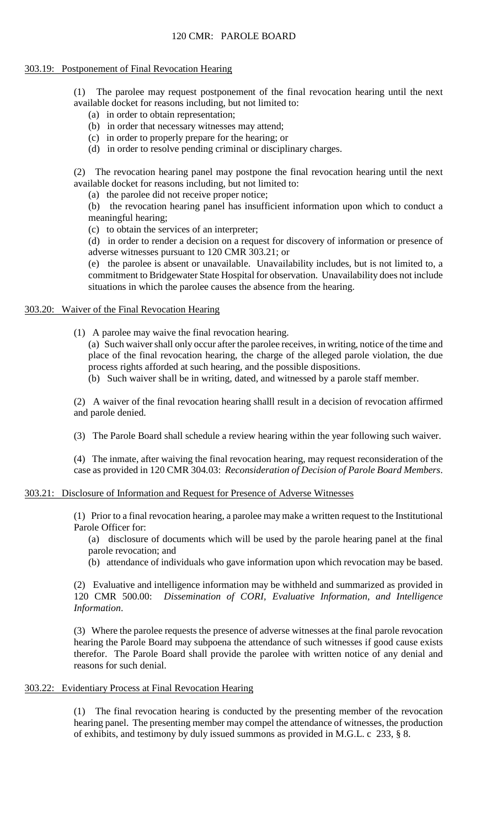# 303.19: Postponement of Final Revocation Hearing

(1) The parolee may request postponement of the final revocation hearing until the next available docket for reasons including, but not limited to:

- (a) in order to obtain representation;
- (b) in order that necessary witnesses may attend;
- (c) in order to properly prepare for the hearing; or
- (d) in order to resolve pending criminal or disciplinary charges.

(2) The revocation hearing panel may postpone the final revocation hearing until the next available docket for reasons including, but not limited to:

(a) the parolee did not receive proper notice;

(b) the revocation hearing panel has insufficient information upon which to conduct a meaningful hearing;

(c) to obtain the services of an interpreter;

(d) in order to render a decision on a request for discovery of information or presence of adverse witnesses pursuant to 120 CMR 303.21; or

 (e) the parolee is absent or unavailable. Unavailability includes, but is not limited to, a commitment to Bridgewater State Hospital for observation. Unavailability does not include situations in which the parolee causes the absence from the hearing.

# 303.20: Waiver of the Final Revocation Hearing

(1) A parolee may waive the final revocation hearing.

(a) Such waiver shall only occur after the parolee receives, in writing, notice of the time and place of the final revocation hearing, the charge of the alleged parole violation, the due process rights afforded at such hearing, and the possible dispositions.

(b) Such waiver shall be in writing, dated, and witnessed by a parole staff member.

(2) A waiver of the final revocation hearing shalll result in a decision of revocation affirmed and parole denied.

(3) The Parole Board shall schedule a review hearing within the year following such waiver.

(4) The inmate, after waiving the final revocation hearing, may request reconsideration of the case as provided in 120 CMR 304.03: *Reconsideration of Decision of Parole Board Members*.

# 303.21: Disclosure of Information and Request for Presence of Adverse Witnesses

(1) Prior to a final revocation hearing, a parolee may make a written request to the Institutional Parole Officer for:

(a) disclosure of documents which will be used by the parole hearing panel at the final parole revocation; and

(b) attendance of individuals who gave information upon which revocation may be based.

 120 CMR 500.00: *Dissemination of CORI, Evaluative Information, and Intelligence*  (2) Evaluative and intelligence information may be withheld and summarized as provided in *Information*.

(3) Where the parolee requests the presence of adverse witnesses at the final parole revocation hearing the Parole Board may subpoena the attendance of such witnesses if good cause exists therefor. The Parole Board shall provide the parolee with written notice of any denial and reasons for such denial.

# 303.22: Evidentiary Process at Final Revocation Hearing

(1) The final revocation hearing is conducted by the presenting member of the revocation hearing panel. The presenting member may compel the attendance of witnesses, the production of exhibits, and testimony by duly issued summons as provided in M.G.L. c 233, § 8.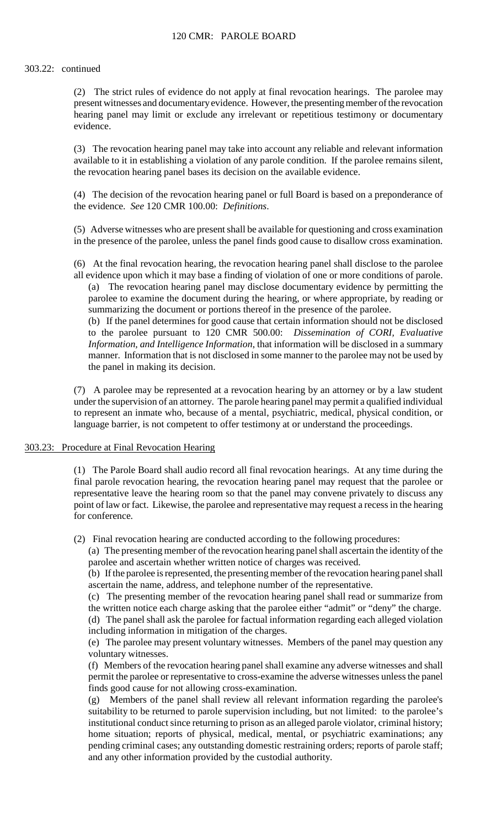## 303.22: continued

(2) The strict rules of evidence do not apply at final revocation hearings. The parolee may present witnesses and documentary evidence. However, the presenting member of the revocation hearing panel may limit or exclude any irrelevant or repetitious testimony or documentary evidence.

(3) The revocation hearing panel may take into account any reliable and relevant information available to it in establishing a violation of any parole condition. If the parolee remains silent, the revocation hearing panel bases its decision on the available evidence.

(4) The decision of the revocation hearing panel or full Board is based on a preponderance of the evidence. *See* 120 CMR 100.00: *Definitions*.

(5) Adverse witnesses who are present shall be available for questioning and cross examination in the presence of the parolee, unless the panel finds good cause to disallow cross examination.

(6) At the final revocation hearing, the revocation hearing panel shall disclose to the parolee all evidence upon which it may base a finding of violation of one or more conditions of parole.

 (a) The revocation hearing panel may disclose documentary evidence by permitting the parolee to examine the document during the hearing, or where appropriate, by reading or summarizing the document or portions thereof in the presence of the parolee.

 (b) If the panel determines for good cause that certain information should not be disclosed to the parolee pursuant to 120 CMR 500.00: *Dissemination of CORI, Evaluative Information, and Intelligence Information*, that information will be disclosed in a summary manner. Information that is not disclosed in some manner to the parolee may not be used by the panel in making its decision.

(7) A parolee may be represented at a revocation hearing by an attorney or by a law student under the supervision of an attorney. The parole hearing panel may permit a qualified individual to represent an inmate who, because of a mental, psychiatric, medical, physical condition, or language barrier, is not competent to offer testimony at or understand the proceedings.

# 303.23: Procedure at Final Revocation Hearing

 final parole revocation hearing, the revocation hearing panel may request that the parolee or (1) The Parole Board shall audio record all final revocation hearings. At any time during the representative leave the hearing room so that the panel may convene privately to discuss any point of law or fact. Likewise, the parolee and representative may request a recess in the hearing for conference.

(2) Final revocation hearing are conducted according to the following procedures:

 (a) The presenting member of the revocation hearing panel shall ascertain the identity of the parolee and ascertain whether written notice of charges was received.

 (b) If the parolee is represented, the presenting member of the revocation hearing panel shall ascertain the name, address, and telephone number of the representative.

 (c) The presenting member of the revocation hearing panel shall read or summarize from the written notice each charge asking that the parolee either "admit" or "deny" the charge. (d) The panel shall ask the parolee for factual information regarding each alleged violation including information in mitigation of the charges.

(e) The parolee may present voluntary witnesses. Members of the panel may question any voluntary witnesses.

 (f) Members of the revocation hearing panel shall examine any adverse witnesses and shall permit the parolee or representative to cross-examine the adverse witnesses unless the panel finds good cause for not allowing cross-examination.

 $(g)$  suitability to be returned to parole supervision including, but not limited: to the parolee's institutional conduct since returning to prison as an alleged parole violator, criminal history; Members of the panel shall review all relevant information regarding the parolee's home situation; reports of physical, medical, mental, or psychiatric examinations; any pending criminal cases; any outstanding domestic restraining orders; reports of parole staff; and any other information provided by the custodial authority.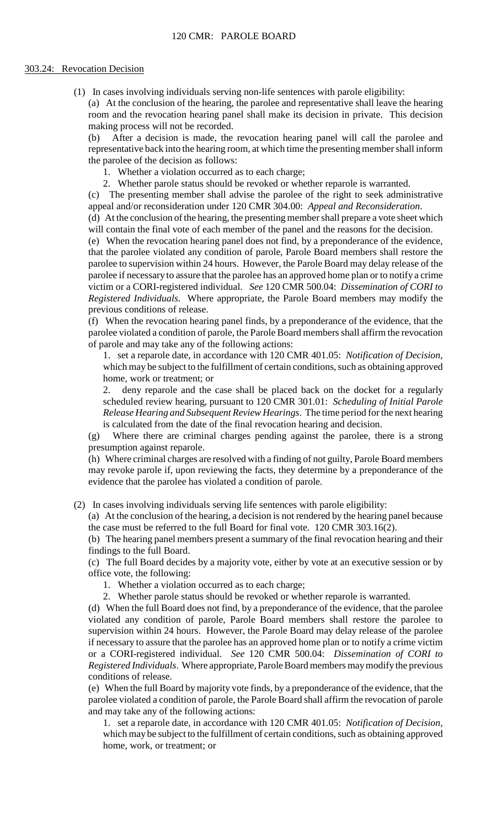## 303.24: Revocation Decision

(1) In cases involving individuals serving non-life sentences with parole eligibility:

(a) At the conclusion of the hearing, the parolee and representative shall leave the hearing room and the revocation hearing panel shall make its decision in private. This decision making process will not be recorded.

(b) After a decision is made, the revocation hearing panel will call the parolee and representative back into the hearing room, at which time the presenting member shall inform the parolee of the decision as follows:

- 1. Whether a violation occurred as to each charge;
- 2. Whether parole status should be revoked or whether reparole is warranted.

(c) The presenting member shall advise the parolee of the right to seek administrative appeal and/or reconsideration under 120 CMR 304.00: *Appeal and Reconsideration*.

(d) At the conclusion of the hearing, the presenting member shall prepare a vote sheet which will contain the final vote of each member of the panel and the reasons for the decision.

 (e) When the revocation hearing panel does not find, by a preponderance of the evidence, parolee if necessary to assure that the parolee has an approved home plan or to notify a crime that the parolee violated any condition of parole, Parole Board members shall restore the parolee to supervision within 24 hours. However, the Parole Board may delay release of the victim or a CORI-registered individual. *See* 120 CMR 500.04: *Dissemination of CORI to Registered Individuals*. Where appropriate, the Parole Board members may modify the previous conditions of release.

(f) When the revocation hearing panel finds, by a preponderance of the evidence, that the parolee violated a condition of parole, the Parole Board members shall affirm the revocation of parole and may take any of the following actions:

 1. set a reparole date, in accordance with 120 CMR 401.05: *Notification of Decision*, which may be subject to the fulfillment of certain conditions, such as obtaining approved home, work or treatment; or

2. deny reparole and the case shall be placed back on the docket for a regularly scheduled review hearing, pursuant to 120 CMR 301.01: *Scheduling of Initial Parole Release Hearing and Subsequent Review Hearings*. The time period for the next hearing is calculated from the date of the final revocation hearing and decision.

(g) Where there are criminal charges pending against the parolee, there is a strong presumption against reparole.

(h) Where criminal charges are resolved with a finding of not guilty, Parole Board members may revoke parole if, upon reviewing the facts, they determine by a preponderance of the evidence that the parolee has violated a condition of parole.

(2) In cases involving individuals serving life sentences with parole eligibility:

(a) At the conclusion of the hearing, a decision is not rendered by the hearing panel because the case must be referred to the full Board for final vote. 120 CMR 303.16(2).

 (b) The hearing panel members present a summary of the final revocation hearing and their findings to the full Board.

 (c) The full Board decides by a majority vote, either by vote at an executive session or by office vote, the following:

- 1. Whether a violation occurred as to each charge;
- 2. Whether parole status should be revoked or whether reparole is warranted.

 violated any condition of parole, Parole Board members shall restore the parolee to supervision within 24 hours. However, the Parole Board may delay release of the parolee if necessary to assure that the parolee has an approved home plan or to notify a crime victim (d) When the full Board does not find, by a preponderance of the evidence, that the parolee or a CORI-registered individual. *See* 120 CMR 500.04: *Dissemination of CORI to Registered Individuals*. Where appropriate, Parole Board members may modify the previous conditions of release.

 parolee violated a condition of parole, the Parole Board shall affirm the revocation of parole (e) When the full Board by majority vote finds, by a preponderance of the evidence, that the and may take any of the following actions:

 1. set a reparole date, in accordance with 120 CMR 401.05: *Notification of Decision*, which may be subject to the fulfillment of certain conditions, such as obtaining approved home, work, or treatment; or